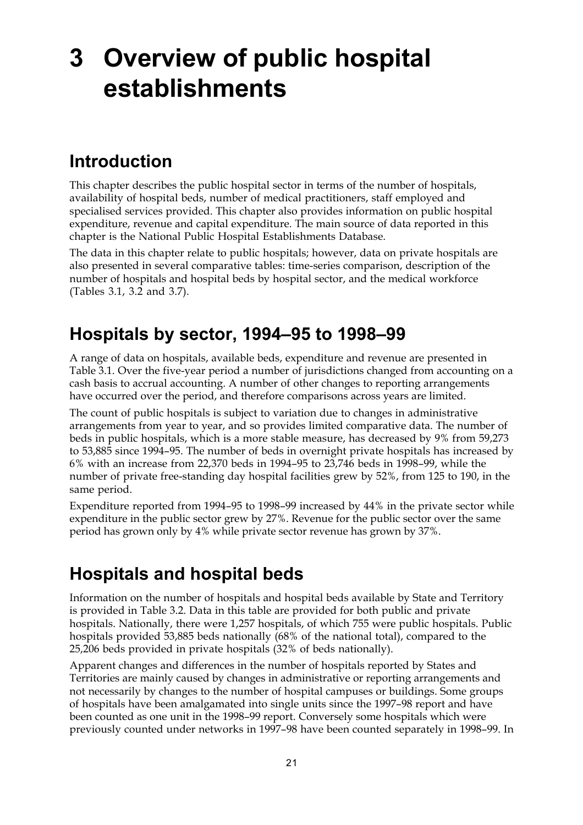# **3 Overview of public hospital establishments**

# **Introduction**

This chapter describes the public hospital sector in terms of the number of hospitals, availability of hospital beds, number of medical practitioners, staff employed and specialised services provided. This chapter also provides information on public hospital expenditure, revenue and capital expenditure. The main source of data reported in this chapter is the National Public Hospital Establishments Database.

The data in this chapter relate to public hospitals; however, data on private hospitals are also presented in several comparative tables: time-series comparison, description of the number of hospitals and hospital beds by hospital sector, and the medical workforce (Tables 3.1, 3.2 and 3.7).

# **Hospitals by sector, 1994–95 to 1998–99**

A range of data on hospitals, available beds, expenditure and revenue are presented in Table 3.1. Over the five-year period a number of jurisdictions changed from accounting on a cash basis to accrual accounting. A number of other changes to reporting arrangements have occurred over the period, and therefore comparisons across years are limited.

The count of public hospitals is subject to variation due to changes in administrative arrangements from year to year, and so provides limited comparative data. The number of beds in public hospitals, which is a more stable measure, has decreased by 9% from 59,273 to 53,885 since 1994–95. The number of beds in overnight private hospitals has increased by 6% with an increase from 22,370 beds in 1994–95 to 23,746 beds in 1998–99, while the number of private free-standing day hospital facilities grew by 52%, from 125 to 190, in the same period.

Expenditure reported from 1994–95 to 1998–99 increased by 44% in the private sector while expenditure in the public sector grew by 27%. Revenue for the public sector over the same period has grown only by 4% while private sector revenue has grown by 37%.

# **Hospitals and hospital beds**

Information on the number of hospitals and hospital beds available by State and Territory is provided in Table 3.2. Data in this table are provided for both public and private hospitals. Nationally, there were 1,257 hospitals, of which 755 were public hospitals. Public hospitals provided 53,885 beds nationally (68% of the national total), compared to the 25,206 beds provided in private hospitals (32% of beds nationally).

Apparent changes and differences in the number of hospitals reported by States and Territories are mainly caused by changes in administrative or reporting arrangements and not necessarily by changes to the number of hospital campuses or buildings. Some groups of hospitals have been amalgamated into single units since the 1997–98 report and have been counted as one unit in the 1998–99 report. Conversely some hospitals which were previously counted under networks in 1997–98 have been counted separately in 1998–99. In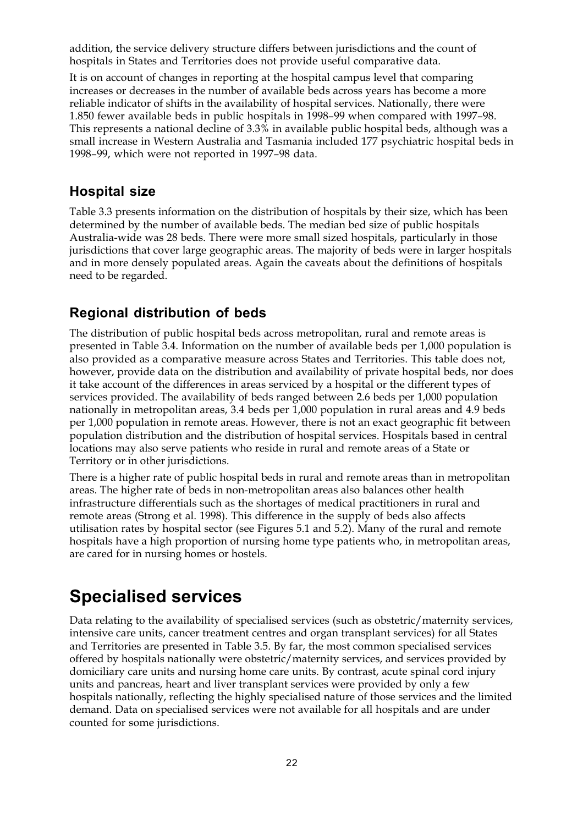addition, the service delivery structure differs between jurisdictions and the count of hospitals in States and Territories does not provide useful comparative data.

It is on account of changes in reporting at the hospital campus level that comparing increases or decreases in the number of available beds across years has become a more reliable indicator of shifts in the availability of hospital services. Nationally, there were 1.850 fewer available beds in public hospitals in 1998–99 when compared with 1997–98. This represents a national decline of 3.3% in available public hospital beds, although was a small increase in Western Australia and Tasmania included 177 psychiatric hospital beds in 1998–99, which were not reported in 1997–98 data.

#### **Hospital size**

Table 3.3 presents information on the distribution of hospitals by their size, which has been determined by the number of available beds. The median bed size of public hospitals Australia-wide was 28 beds. There were more small sized hospitals, particularly in those jurisdictions that cover large geographic areas. The majority of beds were in larger hospitals and in more densely populated areas. Again the caveats about the definitions of hospitals need to be regarded.

### **Regional distribution of beds**

The distribution of public hospital beds across metropolitan, rural and remote areas is presented in Table 3.4. Information on the number of available beds per 1,000 population is also provided as a comparative measure across States and Territories. This table does not, however, provide data on the distribution and availability of private hospital beds, nor does it take account of the differences in areas serviced by a hospital or the different types of services provided. The availability of beds ranged between 2.6 beds per 1,000 population nationally in metropolitan areas, 3.4 beds per 1,000 population in rural areas and 4.9 beds per 1,000 population in remote areas. However, there is not an exact geographic fit between population distribution and the distribution of hospital services. Hospitals based in central locations may also serve patients who reside in rural and remote areas of a State or Territory or in other jurisdictions.

There is a higher rate of public hospital beds in rural and remote areas than in metropolitan areas. The higher rate of beds in non-metropolitan areas also balances other health infrastructure differentials such as the shortages of medical practitioners in rural and remote areas (Strong et al. 1998). This difference in the supply of beds also affects utilisation rates by hospital sector (see Figures 5.1 and 5.2). Many of the rural and remote hospitals have a high proportion of nursing home type patients who, in metropolitan areas, are cared for in nursing homes or hostels.

## **Specialised services**

Data relating to the availability of specialised services (such as obstetric/maternity services, intensive care units, cancer treatment centres and organ transplant services) for all States and Territories are presented in Table 3.5. By far, the most common specialised services offered by hospitals nationally were obstetric/maternity services, and services provided by domiciliary care units and nursing home care units. By contrast, acute spinal cord injury units and pancreas, heart and liver transplant services were provided by only a few hospitals nationally, reflecting the highly specialised nature of those services and the limited demand. Data on specialised services were not available for all hospitals and are under counted for some jurisdictions.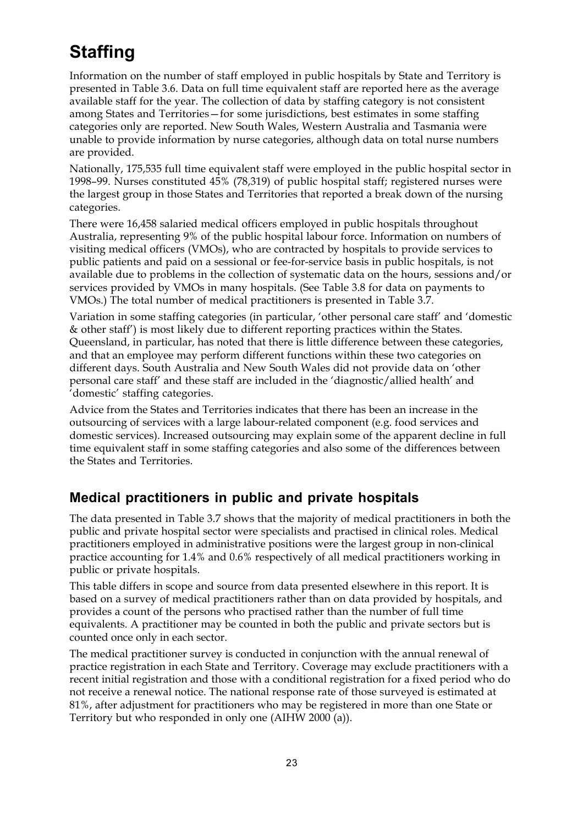# **Staffing**

Information on the number of staff employed in public hospitals by State and Territory is presented in Table 3.6. Data on full time equivalent staff are reported here as the average available staff for the year. The collection of data by staffing category is not consistent among States and Territories—for some jurisdictions, best estimates in some staffing categories only are reported. New South Wales, Western Australia and Tasmania were unable to provide information by nurse categories, although data on total nurse numbers are provided.

Nationally, 175,535 full time equivalent staff were employed in the public hospital sector in 1998–99. Nurses constituted 45% (78,319) of public hospital staff; registered nurses were the largest group in those States and Territories that reported a break down of the nursing categories.

There were 16,458 salaried medical officers employed in public hospitals throughout Australia, representing 9% of the public hospital labour force. Information on numbers of visiting medical officers (VMOs), who are contracted by hospitals to provide services to public patients and paid on a sessional or fee-for-service basis in public hospitals, is not available due to problems in the collection of systematic data on the hours, sessions and/or services provided by VMOs in many hospitals. (See Table 3.8 for data on payments to VMOs.) The total number of medical practitioners is presented in Table 3.7.

Variation in some staffing categories (in particular, 'other personal care staff' and 'domestic & other staff') is most likely due to different reporting practices within the States. Queensland, in particular, has noted that there is little difference between these categories, and that an employee may perform different functions within these two categories on different days. South Australia and New South Wales did not provide data on 'other personal care staff' and these staff are included in the 'diagnostic/allied health' and 'domestic' staffing categories.

Advice from the States and Territories indicates that there has been an increase in the outsourcing of services with a large labour-related component (e.g. food services and domestic services). Increased outsourcing may explain some of the apparent decline in full time equivalent staff in some staffing categories and also some of the differences between the States and Territories.

## **Medical practitioners in public and private hospitals**

The data presented in Table 3.7 shows that the majority of medical practitioners in both the public and private hospital sector were specialists and practised in clinical roles. Medical practitioners employed in administrative positions were the largest group in non-clinical practice accounting for 1.4% and 0.6% respectively of all medical practitioners working in public or private hospitals.

This table differs in scope and source from data presented elsewhere in this report. It is based on a survey of medical practitioners rather than on data provided by hospitals, and provides a count of the persons who practised rather than the number of full time equivalents. A practitioner may be counted in both the public and private sectors but is counted once only in each sector.

The medical practitioner survey is conducted in conjunction with the annual renewal of practice registration in each State and Territory. Coverage may exclude practitioners with a recent initial registration and those with a conditional registration for a fixed period who do not receive a renewal notice. The national response rate of those surveyed is estimated at 81%, after adjustment for practitioners who may be registered in more than one State or Territory but who responded in only one (AIHW 2000 (a)).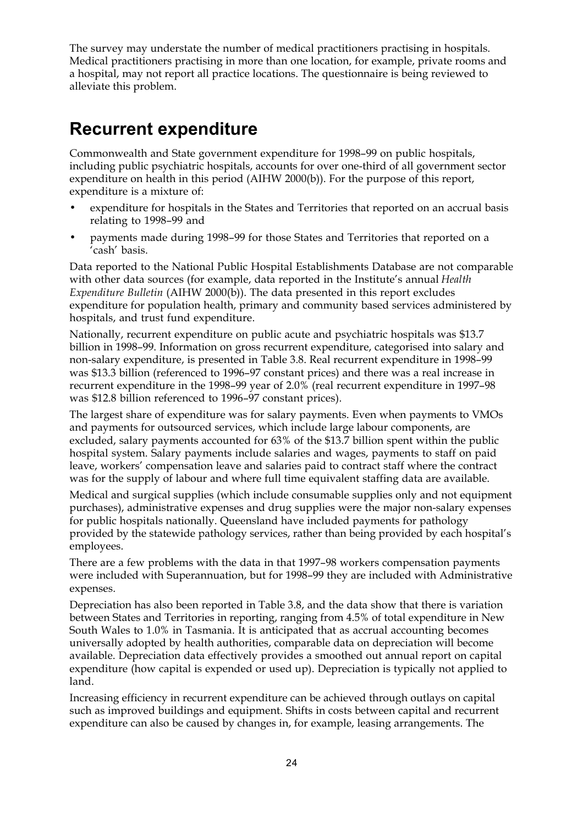The survey may understate the number of medical practitioners practising in hospitals. Medical practitioners practising in more than one location, for example, private rooms and a hospital, may not report all practice locations. The questionnaire is being reviewed to alleviate this problem.

# **Recurrent expenditure**

Commonwealth and State government expenditure for 1998–99 on public hospitals, including public psychiatric hospitals, accounts for over one-third of all government sector expenditure on health in this period (AIHW 2000(b)). For the purpose of this report, expenditure is a mixture of:

- expenditure for hospitals in the States and Territories that reported on an accrual basis relating to 1998–99 and
- payments made during 1998–99 for those States and Territories that reported on a 'cash' basis.

Data reported to the National Public Hospital Establishments Database are not comparable with other data sources (for example, data reported in the Institute's annual *Health Expenditure Bulletin* (AIHW 2000(b)). The data presented in this report excludes expenditure for population health, primary and community based services administered by hospitals, and trust fund expenditure.

Nationally, recurrent expenditure on public acute and psychiatric hospitals was \$13.7 billion in 1998–99. Information on gross recurrent expenditure, categorised into salary and non-salary expenditure, is presented in Table 3.8. Real recurrent expenditure in 1998–99 was \$13.3 billion (referenced to 1996–97 constant prices) and there was a real increase in recurrent expenditure in the 1998–99 year of 2.0% (real recurrent expenditure in 1997–98 was \$12.8 billion referenced to 1996–97 constant prices).

The largest share of expenditure was for salary payments. Even when payments to VMOs and payments for outsourced services, which include large labour components, are excluded, salary payments accounted for 63% of the \$13.7 billion spent within the public hospital system. Salary payments include salaries and wages, payments to staff on paid leave, workers' compensation leave and salaries paid to contract staff where the contract was for the supply of labour and where full time equivalent staffing data are available.

Medical and surgical supplies (which include consumable supplies only and not equipment purchases), administrative expenses and drug supplies were the major non-salary expenses for public hospitals nationally. Queensland have included payments for pathology provided by the statewide pathology services, rather than being provided by each hospital's employees.

There are a few problems with the data in that 1997–98 workers compensation payments were included with Superannuation, but for 1998–99 they are included with Administrative expenses.

Depreciation has also been reported in Table 3.8, and the data show that there is variation between States and Territories in reporting, ranging from 4.5% of total expenditure in New South Wales to 1.0% in Tasmania. It is anticipated that as accrual accounting becomes universally adopted by health authorities, comparable data on depreciation will become available. Depreciation data effectively provides a smoothed out annual report on capital expenditure (how capital is expended or used up). Depreciation is typically not applied to land.

Increasing efficiency in recurrent expenditure can be achieved through outlays on capital such as improved buildings and equipment. Shifts in costs between capital and recurrent expenditure can also be caused by changes in, for example, leasing arrangements. The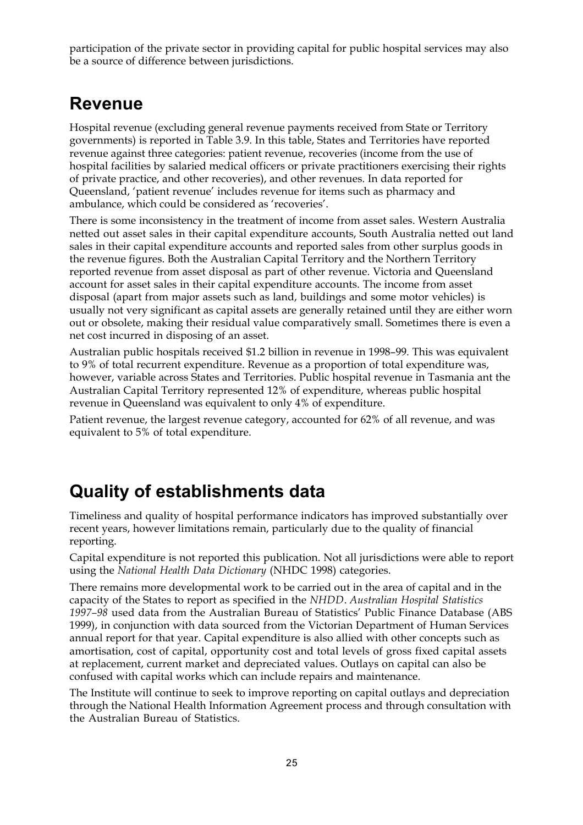participation of the private sector in providing capital for public hospital services may also be a source of difference between jurisdictions.

# **Revenue**

Hospital revenue (excluding general revenue payments received from State or Territory governments) is reported in Table 3.9. In this table, States and Territories have reported revenue against three categories: patient revenue, recoveries (income from the use of hospital facilities by salaried medical officers or private practitioners exercising their rights of private practice, and other recoveries), and other revenues. In data reported for Queensland, 'patient revenue' includes revenue for items such as pharmacy and ambulance, which could be considered as 'recoveries'.

There is some inconsistency in the treatment of income from asset sales. Western Australia netted out asset sales in their capital expenditure accounts, South Australia netted out land sales in their capital expenditure accounts and reported sales from other surplus goods in the revenue figures. Both the Australian Capital Territory and the Northern Territory reported revenue from asset disposal as part of other revenue. Victoria and Queensland account for asset sales in their capital expenditure accounts. The income from asset disposal (apart from major assets such as land, buildings and some motor vehicles) is usually not very significant as capital assets are generally retained until they are either worn out or obsolete, making their residual value comparatively small. Sometimes there is even a net cost incurred in disposing of an asset.

Australian public hospitals received \$1.2 billion in revenue in 1998–99. This was equivalent to 9% of total recurrent expenditure. Revenue as a proportion of total expenditure was, however, variable across States and Territories. Public hospital revenue in Tasmania ant the Australian Capital Territory represented 12% of expenditure, whereas public hospital revenue in Queensland was equivalent to only 4% of expenditure.

Patient revenue, the largest revenue category, accounted for 62% of all revenue, and was equivalent to 5% of total expenditure.

# **Quality of establishments data**

Timeliness and quality of hospital performance indicators has improved substantially over recent years, however limitations remain, particularly due to the quality of financial reporting.

Capital expenditure is not reported this publication. Not all jurisdictions were able to report using the *National Health Data Dictionary* (NHDC 1998) categories.

There remains more developmental work to be carried out in the area of capital and in the capacity of the States to report as specified in the *NHDD*. *Australian Hospital Statistics 1997–98* used data from the Australian Bureau of Statistics' Public Finance Database (ABS 1999), in conjunction with data sourced from the Victorian Department of Human Services annual report for that year. Capital expenditure is also allied with other concepts such as amortisation, cost of capital, opportunity cost and total levels of gross fixed capital assets at replacement, current market and depreciated values. Outlays on capital can also be confused with capital works which can include repairs and maintenance.

The Institute will continue to seek to improve reporting on capital outlays and depreciation through the National Health Information Agreement process and through consultation with the Australian Bureau of Statistics.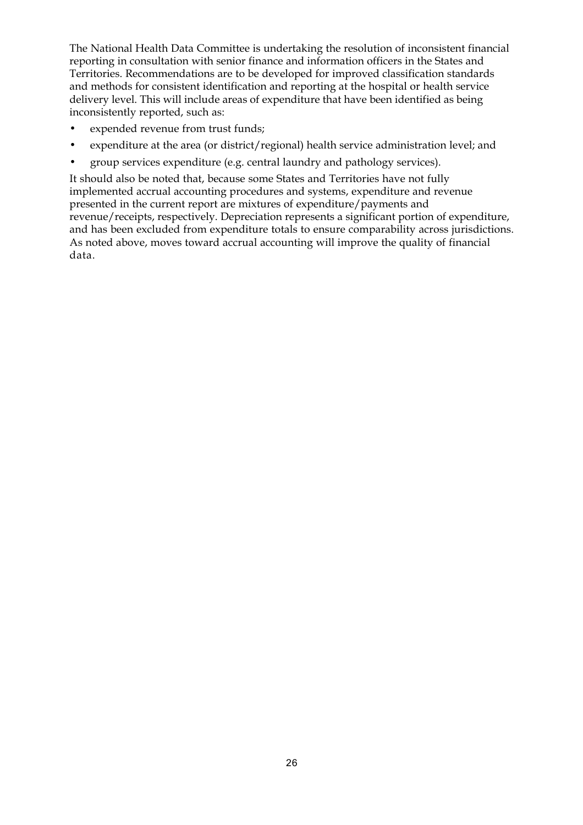The National Health Data Committee is undertaking the resolution of inconsistent financial reporting in consultation with senior finance and information officers in the States and Territories. Recommendations are to be developed for improved classification standards and methods for consistent identification and reporting at the hospital or health service delivery level. This will include areas of expenditure that have been identified as being inconsistently reported, such as:

- expended revenue from trust funds;
- expenditure at the area (or district/regional) health service administration level; and
- group services expenditure (e.g. central laundry and pathology services).

It should also be noted that, because some States and Territories have not fully implemented accrual accounting procedures and systems, expenditure and revenue presented in the current report are mixtures of expenditure/payments and revenue/receipts, respectively. Depreciation represents a significant portion of expenditure, and has been excluded from expenditure totals to ensure comparability across jurisdictions. As noted above, moves toward accrual accounting will improve the quality of financial data.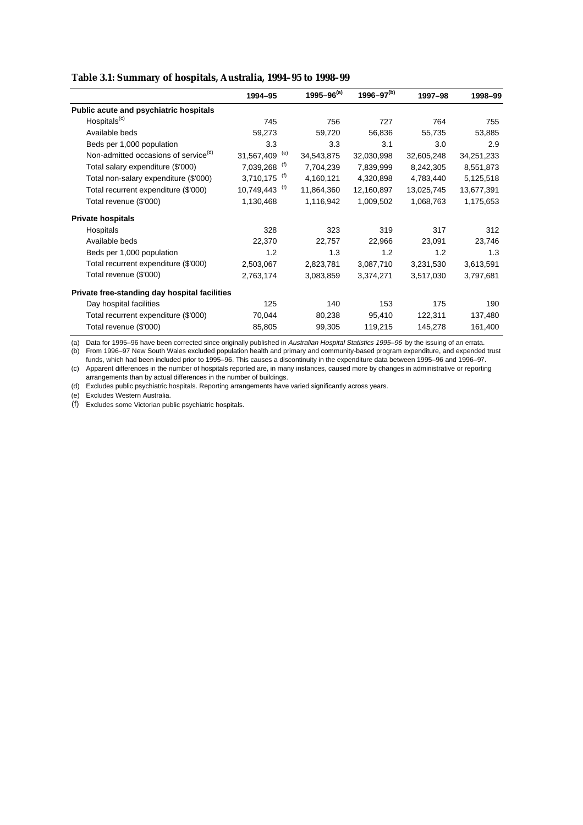#### **Table 3.1: Summary of hospitals, Australia, 1994–95 to 1998–99**

|                                                  | 1994-95           | 1995-96 $(a)$ | $1996 - 97^{(b)}$ | 1997-98    | 1998-99    |
|--------------------------------------------------|-------------------|---------------|-------------------|------------|------------|
| Public acute and psychiatric hospitals           |                   |               |                   |            |            |
| Hospitals <sup>(c)</sup>                         | 745               | 756           | 727               | 764        | 755        |
| Available beds                                   | 59,273            | 59,720        | 56,836            | 55,735     | 53,885     |
| Beds per 1,000 population                        | 3.3               | 3.3           | 3.1               | 3.0        | 2.9        |
| Non-admitted occasions of service <sup>(d)</sup> | (e)<br>31,567,409 | 34,543,875    | 32,030,998        | 32,605,248 | 34,251,233 |
| Total salary expenditure (\$'000)                | (f)<br>7,039,268  | 7,704,239     | 7,839,999         | 8,242,305  | 8,551,873  |
| Total non-salary expenditure (\$'000)            | (f)<br>3,710,175  | 4,160,121     | 4,320,898         | 4,783,440  | 5,125,518  |
| Total recurrent expenditure (\$'000)             | (t)<br>10,749,443 | 11,864,360    | 12,160,897        | 13,025,745 | 13,677,391 |
| Total revenue (\$'000)                           | 1,130,468         | 1,116,942     | 1,009,502         | 1,068,763  | 1,175,653  |
| <b>Private hospitals</b>                         |                   |               |                   |            |            |
| Hospitals                                        | 328               | 323           | 319               | 317        | 312        |
| Available beds                                   | 22,370            | 22,757        | 22,966            | 23,091     | 23,746     |
| Beds per 1,000 population                        | 1.2               | 1.3           | 1.2               | 1.2        | 1.3        |
| Total recurrent expenditure (\$'000)             | 2,503,067         | 2,823,781     | 3,087,710         | 3,231,530  | 3,613,591  |
| Total revenue (\$'000)                           | 2,763,174         | 3,083,859     | 3,374,271         | 3,517,030  | 3,797,681  |
| Private free-standing day hospital facilities    |                   |               |                   |            |            |
| Day hospital facilities                          | 125               | 140           | 153               | 175        | 190        |
| Total recurrent expenditure (\$'000)             | 70,044            | 80,238        | 95,410            | 122,311    | 137,480    |
| Total revenue (\$'000)                           | 85,805            | 99,305        | 119,215           | 145,278    | 161,400    |

(a) Data for 1995–96 have been corrected since originally published in Australian Hospital Statistics 1995–96 by the issuing of an errata. (b) From 1996–97 New South Wales excluded population health and primary and community-based program expenditure, and expended trust

(c) Apparent differences in the number of hospitals reported are, in many instances, caused more by changes in administrative or reporting arrangements than by actual differences in the number of buildings. funds, which had been included prior to 1995–96. This causes a discontinuity in the expenditure data between 1995–96 and 1996–97.

(d) Excludes public psychiatric hospitals. Reporting arrangements have varied significantly across years.

(e) Excludes Western Australia.

(f) Excludes some Victorian public psychiatric hospitals.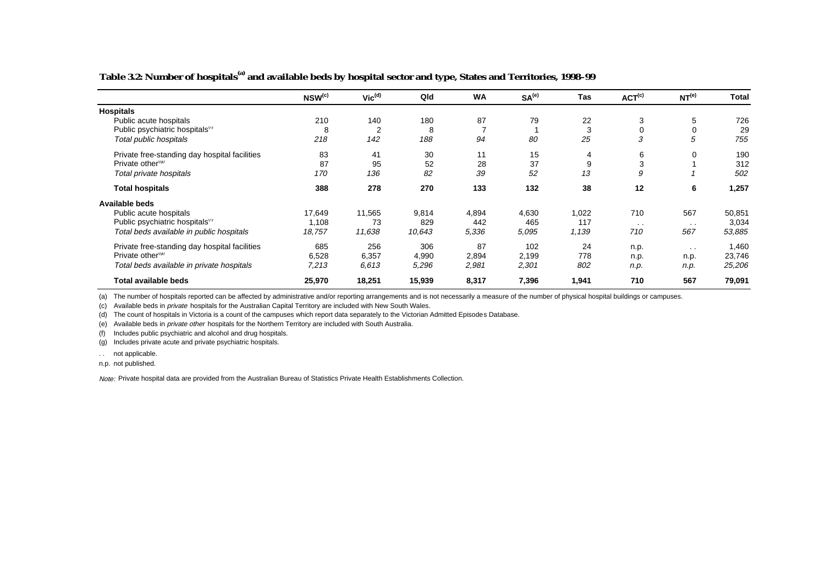## **Table 3.2: Number of hospitals(a) and available beds by hospital sector and type, States and Territories, 1998–99**

|                                               | NSW(c) | $Vic^{(d)}$ | Qld    | <b>WA</b> | SA <sup>(e)</sup> | Tas   | ACT <sup>(c)</sup> | NT <sup>(e)</sup> | <b>Total</b> |
|-----------------------------------------------|--------|-------------|--------|-----------|-------------------|-------|--------------------|-------------------|--------------|
| <b>Hospitals</b>                              |        |             |        |           |                   |       |                    |                   |              |
| Public acute hospitals                        | 210    | 140         | 180    | 87        | 79                | 22    | 3                  | 5                 | 726          |
| Public psychiatric hospitals"                 | 8      | 2           | 8      |           |                   | 3     | 0                  | 0                 | 29           |
| Total public hospitals                        | 218    | 142         | 188    | 94        | 80                | 25    | 3                  | 5                 | 755          |
| Private free-standing day hospital facilities | 83     | 41          | 30     | 11        | 15                | 4     | 6                  | 0                 | 190          |
| Private other <sup>(9)</sup>                  | 87     | 95          | 52     | 28        | 37                | 9     | 3                  |                   | 312          |
| Total private hospitals                       | 170    | 136         | 82     | 39        | 52                | 13    | 9                  |                   | 502          |
| <b>Total hospitals</b>                        | 388    | 278         | 270    | 133       | 132               | 38    | 12                 | 6                 | 1,257        |
| <b>Available beds</b>                         |        |             |        |           |                   |       |                    |                   |              |
| Public acute hospitals                        | 17,649 | 11,565      | 9,814  | 4,894     | 4,630             | 1,022 | 710                | 567               | 50,851       |
| Public psychiatric hospitals"                 | 1,108  | 73          | 829    | 442       | 465               | 117   | $\sim$             | $\sim$            | 3,034        |
| Total beds available in public hospitals      | 18,757 | 11,638      | 10,643 | 5,336     | 5,095             | 1,139 | 710                | 567               | 53,885       |
| Private free-standing day hospital facilities | 685    | 256         | 306    | 87        | 102               | 24    | n.p.               | $\sim$            | 1,460        |
| Private other <sup>(9)</sup>                  | 6,528  | 6,357       | 4,990  | 2,894     | 2,199             | 778   | n.p.               | n.p.              | 23,746       |
| Total beds available in private hospitals     | 7,213  | 6.613       | 5,296  | 2,981     | 2,301             | 802   | n.p.               | n.p.              | 25,206       |
| <b>Total available beds</b>                   | 25,970 | 18,251      | 15,939 | 8,317     | 7,396             | 1,941 | 710                | 567               | 79,091       |

(a) The number of hospitals reported can be affected by administrative and/or reporting arrangements and is not necessarily a measure of the number of physical hospital buildings or campuses.

(c) Available beds in private hospitals for the Australian Capital Territory are included with New South Wales.

(d) The count of hospitals in Victoria is a count of the campuses which report data separately to the Victorian Admitted Episodes Database.

(e) Available beds in private other hospitals for the Northern Territory are included with South Australia.

(f) Includes public psychiatric and alcohol and drug hospitals.

(g) Includes private acute and private psychiatric hospitals.

. . not applicable.

n.p. not published.

Note: Private hospital data are provided from the Australian Bureau of Statistics Private Health Establishments Collection.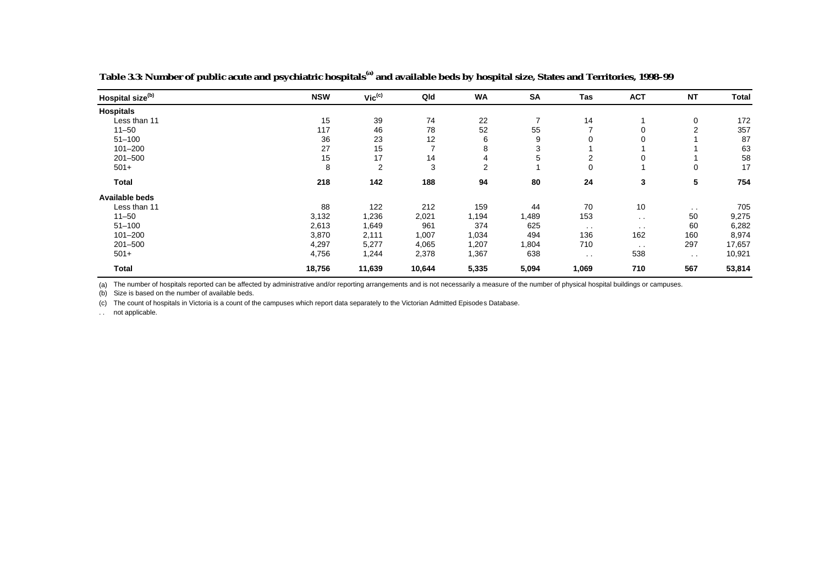| Hospital size <sup>(b)</sup> | <b>NSW</b> | $Vic^{(c)}$ | Qld    | <b>WA</b>      | <b>SA</b> | Tas           | <b>ACT</b>    | <b>NT</b>      | <b>Total</b> |
|------------------------------|------------|-------------|--------|----------------|-----------|---------------|---------------|----------------|--------------|
| <b>Hospitals</b>             |            |             |        |                |           |               |               |                |              |
| Less than 11                 | 15         | 39          | 74     | 22             | 7         | 14            |               | 0              | 172          |
| $11 - 50$                    | 117        | 46          | 78     | 52             | 55        |               | 0             | $\overline{2}$ | 357          |
| $51 - 100$                   | 36         | 23          | 12     | 6              | 9         | 0             | 0             |                | 87           |
| $101 - 200$                  | 27         | 15          | 7      | 8              | 3         |               |               |                | 63           |
| $201 - 500$                  | 15         | 17          | 14     | 4              | 5         | 2             | 0             |                | 58           |
| $501+$                       | 8          | 2           | 3      | $\overline{2}$ |           | 0             |               | 0              | 17           |
| <b>Total</b>                 | 218        | 142         | 188    | 94             | 80        | 24            | 3             | 5              | 754          |
| Available beds               |            |             |        |                |           |               |               |                |              |
| Less than 11                 | 88         | 122         | 212    | 159            | 44        | 70            | 10            | $\sim$         | 705          |
| $11 - 50$                    | 3,132      | 1,236       | 2,021  | 1,194          | 1,489     | 153           | $\sim$        | 50             | 9,275        |
| $51 - 100$                   | 2,613      | 1,649       | 961    | 374            | 625       | $\sim$ $\sim$ | $\sim$        | 60             | 6,282        |
| $101 - 200$                  | 3,870      | 2,111       | 1,007  | 1,034          | 494       | 136           | 162           | 160            | 8,974        |
| $201 - 500$                  | 4,297      | 5,277       | 4,065  | 1,207          | 1,804     | 710           | $\sim$ $\sim$ | 297            | 17,657       |
| $501+$                       | 4,756      | 1,244       | 2,378  | 1,367          | 638       | $\sim$ $\sim$ | 538           | $\sim$         | 10,921       |
| <b>Total</b>                 | 18,756     | 11,639      | 10,644 | 5,335          | 5,094     | 1,069         | 710           | 567            | 53,814       |

**Table 3.3: Number of public acute and psychiatric hospitals(a) and available beds by hospital size, States and Territories, 1998–99**

(a) The number of hospitals reported can be affected by administrative and/or reporting arrangements and is not necessarily a measure of the number of physical hospital buildings or campuses.

(b) Size is based on the number of available beds.

(c) The count of hospitals in Victoria is a count of the campuses which report data separately to the Victorian Admitted Episodes Database.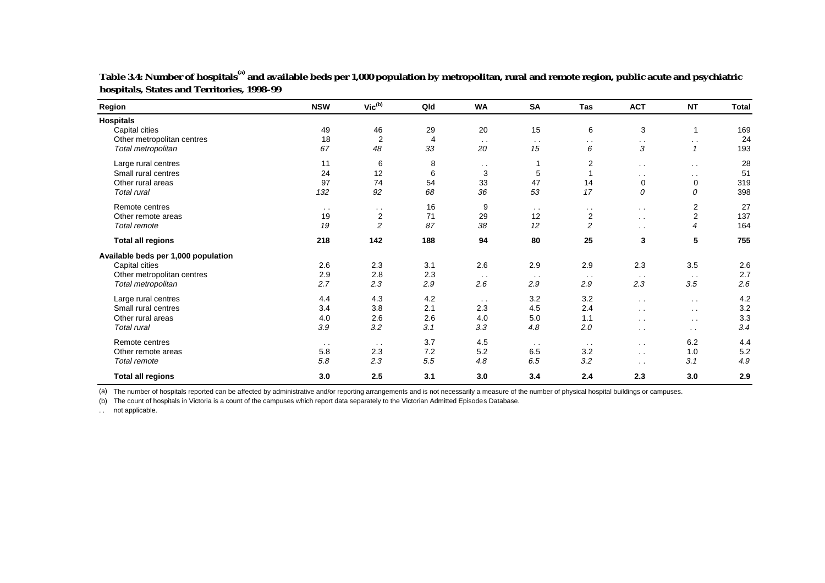| <b>Region</b>                       | <b>NSW</b>    | $Vic^{(b)}$    | Qld | <b>WA</b>            | <b>SA</b>     | <b>Tas</b>     | <b>ACT</b>    | <b>NT</b>        | Total |
|-------------------------------------|---------------|----------------|-----|----------------------|---------------|----------------|---------------|------------------|-------|
| <b>Hospitals</b>                    |               |                |     |                      |               |                |               |                  |       |
| Capital cities                      | 49            | 46             | 29  | 20                   | 15            | 6              | 3             | $\mathbf{1}$     | 169   |
| Other metropolitan centres          | 18            | $\overline{c}$ | 4   | $\sim$ $\sim$        | $\sim$        | $\sim$         | $\sim$        | $\sim$ $\sim$    | 24    |
| Total metropolitan                  | 67            | 48             | 33  | 20                   | 15            | 6              | 3             | $\mathbf{1}$     | 193   |
| Large rural centres                 | 11            | 6              | 8   | $\ddot{\phantom{1}}$ | 1             | $\overline{2}$ | $\sim$        | $\sim$ $\sim$    | 28    |
| Small rural centres                 | 24            | 12             | 6   | 3                    | 5             |                | $\sim$ $\sim$ | $\sim$ $\sim$    | 51    |
| Other rural areas                   | 97            | 74             | 54  | 33                   | 47            | 14             | $\mathbf 0$   | $\mathbf 0$      | 319   |
| <b>Total rural</b>                  | 132           | 92             | 68  | 36                   | 53            | 17             | 0             | 0                | 398   |
| Remote centres                      | $\sim$ $\sim$ | $\sim$         | 16  | 9                    | $\sim$ $\sim$ | $\sim$ $\sim$  | $\sim$ $\sim$ | 2                | 27    |
| Other remote areas                  | 19            | $\overline{c}$ | 71  | 29                   | 12            | $\overline{c}$ | $\sim$ $\sim$ | $\boldsymbol{2}$ | 137   |
| Total remote                        | 19            | 2              | 87  | 38                   | 12            | $\overline{2}$ | $\sim$ $\sim$ | $\overline{4}$   | 164   |
| <b>Total all regions</b>            | 218           | 142            | 188 | 94                   | 80            | 25             | 3             | 5                | 755   |
| Available beds per 1,000 population |               |                |     |                      |               |                |               |                  |       |
| Capital cities                      | 2.6           | 2.3            | 3.1 | 2.6                  | 2.9           | 2.9            | 2.3           | 3.5              | 2.6   |
| Other metropolitan centres          | 2.9           | 2.8            | 2.3 | $\sim$ $\sim$        | $\sim$ $\sim$ | $\sim$ $\sim$  | $\sim$ $\sim$ | $\sim$ $\sim$    | 2.7   |
| Total metropolitan                  | 2.7           | 2.3            | 2.9 | 2.6                  | 2.9           | 2.9            | 2.3           | 3.5              | 2.6   |
| Large rural centres                 | 4.4           | 4.3            | 4.2 | $\sim$ $\sim$        | 3.2           | 3.2            | $\sim$ $\sim$ | $\sim$ $\sim$    | 4.2   |
| Small rural centres                 | 3.4           | 3.8            | 2.1 | 2.3                  | 4.5           | 2.4            | $\sim$ $\sim$ | $\sim$ $\sim$    | 3.2   |
| Other rural areas                   | 4.0           | 2.6            | 2.6 | 4.0                  | 5.0           | 1.1            | $\sim$        | $\sim$ $\sim$    | 3.3   |
| <b>Total rural</b>                  | 3.9           | 3.2            | 3.1 | 3.3                  | 4.8           | 2.0            | $\sim$ $\sim$ | $\sim$           | 3.4   |
| Remote centres                      | $\sim$ $\sim$ | $\sim$ $\sim$  | 3.7 | 4.5                  | $\sim$ $\sim$ | $\sim$ $\sim$  | $\sim$ $\sim$ | 6.2              | 4.4   |
| Other remote areas                  | 5.8           | 2.3            | 7.2 | 5.2                  | 6.5           | 3.2            | $\sim$ $\sim$ | 1.0              | 5.2   |
| Total remote                        | 5.8           | 2.3            | 5.5 | 4.8                  | 6.5           | 3.2            | $\sim$ $\sim$ | 3.1              | 4.9   |
| <b>Total all regions</b>            | 3.0           | 2.5            | 3.1 | 3.0                  | 3.4           | 2.4            | 2.3           | 3.0              | 2.9   |

**Table 3.4: Number of hospitals(a) and available beds per 1,000 population by metropolitan, rural and remote region, public acute and psychiatric hospitals, States and Territories, 1998–99**

(a) The number of hospitals reported can be affected by administrative and/or reporting arrangements and is not necessarily a measure of the number of physical hospital buildings or campuses.

(b) The count of hospitals in Victoria is a count of the campuses which report data separately to the Victorian Admitted Episodes Database.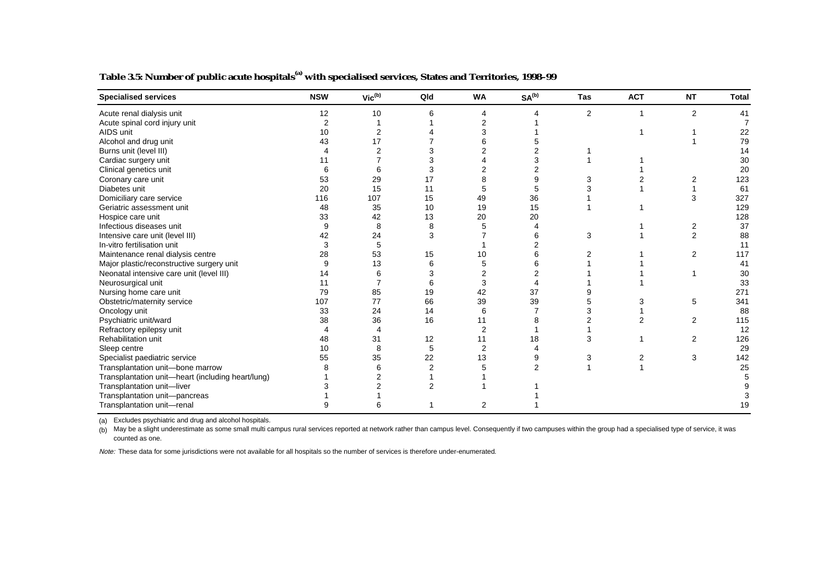| <b>Specialised services</b>                       | <b>NSW</b> | $\mathsf{Vic}^\mathsf{(b)}$ | Qld            | <b>WA</b>      | SA <sup>(b)</sup> | <b>Tas</b> | <b>ACT</b> | <b>NT</b>      | <b>Total</b> |
|---------------------------------------------------|------------|-----------------------------|----------------|----------------|-------------------|------------|------------|----------------|--------------|
| Acute renal dialysis unit                         | 12         | 10                          |                |                |                   | 2          |            | $\overline{2}$ | 41           |
| Acute spinal cord injury unit                     | 2          |                             |                |                |                   |            |            |                |              |
| AIDS unit                                         | 10         | 2                           |                |                |                   |            |            |                | 22           |
| Alcohol and drug unit                             | 43         | 17                          |                |                |                   |            |            |                | 79           |
| Burns unit (level III)                            |            |                             |                |                |                   |            |            |                |              |
| Cardiac surgery unit                              | 11         |                             |                |                |                   |            |            |                | 30           |
| Clinical genetics unit                            |            |                             |                |                |                   |            |            |                | 20           |
| Coronary care unit                                | 53         | 29                          | 17             |                |                   |            |            | 2              | 123          |
| Diabetes unit                                     | 20         | 15                          | 11             |                | 5                 |            |            |                | 61           |
| Domiciliary care service                          | 116        | 107                         | 15             | 49             | 36                |            |            | 3              | 327          |
| Geriatric assessment unit                         | 48         | 35                          | 10             | 19             | 15                |            |            |                | 129          |
| Hospice care unit                                 | 33         | 42                          | 13             | 20             | 20                |            |            |                | 128          |
| Infectious diseases unit                          | 9          | 8                           | 8              |                |                   |            |            | 2              | 37           |
| Intensive care unit (level III)                   | 42         | 24                          | 3              |                |                   | 3          |            | $\overline{2}$ | 88           |
| In-vitro fertilisation unit                       | 3          | 5                           |                |                |                   |            |            |                | 11           |
| Maintenance renal dialysis centre                 | 28         | 53                          | 15             | 10             |                   |            |            | 2              | 117          |
| Major plastic/reconstructive surgery unit         | 9          | 13                          |                |                |                   |            |            |                | 41           |
| Neonatal intensive care unit (level III)          | 14         | 6                           |                |                |                   |            |            |                | 30           |
| Neurosurgical unit                                | 11         |                             |                |                |                   |            |            |                | 33           |
| Nursing home care unit                            | 79         | 85                          | 19             | 42             | 37                |            |            |                | 271          |
| Obstetric/maternity service                       | 107        | 77                          | 66             | 39             | 39                |            |            | 5              | 341          |
| Oncology unit                                     | 33         | 24                          | 14             | 6              |                   |            |            |                | 88           |
| Psychiatric unit/ward                             | 38         | 36                          | 16             | 11             |                   |            |            | 2              | 115          |
| Refractory epilepsy unit                          |            | 4                           |                | 2              |                   |            |            |                | 12           |
| Rehabilitation unit                               | 48         | 31                          | 12             | 11             | 18                |            |            | 2              | 126          |
| Sleep centre                                      | 10         | 8                           | 5              | $\overline{2}$ |                   |            |            |                | 29           |
| Specialist paediatric service                     | 55         | 35                          | 22             | 13             |                   |            |            | 3              | 142          |
| Transplantation unit-bone marrow                  |            |                             | $\overline{2}$ |                | 2                 |            |            |                | 25           |
| Transplantation unit-heart (including heart/lung) |            |                             |                |                |                   |            |            |                |              |
| Transplantation unit-liver                        |            |                             |                |                |                   |            |            |                |              |
| Transplantation unit-pancreas                     |            |                             |                |                |                   |            |            |                |              |
| Transplantation unit-renal                        |            |                             |                | 2              |                   |            |            |                |              |

**Table 3.5: Number of public acute hospitals(a) with specialised services, States and Territories, 1998–99**

(a) Excludes psychiatric and drug and alcohol hospitals.

(b) May be a slight underestimate as some small multi campus rural services reported at network rather than campus level. Consequently if two campuses within the group had a specialised type of service, it was counted as one.

Note: These data for some jurisdictions were not available for all hospitals so the number of services is therefore under-enumerated.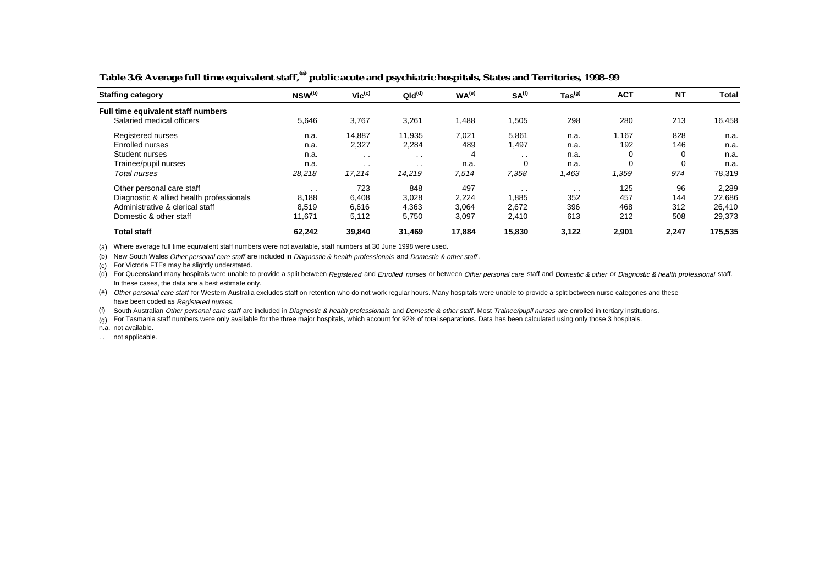| <b>Staffing category</b>                 | NSW <sup>(b)</sup> | $Vic^{(c)}$     | QId <sup>(d)</sup> | WA <sup>(e)</sup> | SA <sup>(f)</sup> | $\mathsf{ Tas}^{(\textsf{g})}$ | <b>ACT</b> | <b>NT</b>   | Total   |
|------------------------------------------|--------------------|-----------------|--------------------|-------------------|-------------------|--------------------------------|------------|-------------|---------|
| Full time equivalent staff numbers       |                    |                 |                    |                   |                   |                                |            |             |         |
| Salaried medical officers                | 5,646              | 3,767           | 3,261              | 1,488             | .505              | 298                            | 280        | 213         | 16,458  |
| Registered nurses                        | n.a.               | 14,887          | 11.935             | 7,021             | 5,861             | n.a.                           | 1,167      | 828         | n.a.    |
| Enrolled nurses                          | n.a.               | 2,327           | 2,284              | 489               | 1,497             | n.a.                           | 192        | 146         | n.a.    |
| Student nurses                           | n.a.               | $\sim$ $\sim$   | $\sim$ $\sim$      | 4                 | $\sim$            | n.a.                           | 0          | $\mathbf 0$ | n.a.    |
| Trainee/pupil nurses                     | n.a.               | $\cdot$ $\cdot$ | $\cdot$ $\cdot$    | n.a.              | $\Omega$          | n.a.                           | 0          | 0           | n.a.    |
| Total nurses                             | 28,218             | 17,214          | 14.219             | 7,514             | 7,358             | 1,463                          | .359       | 974         | 78,319  |
| Other personal care staff                | $\sim$             | 723             | 848                | 497               | $\sim$ $\sim$     | $\cdot$ $\cdot$                | 125        | 96          | 2,289   |
| Diagnostic & allied health professionals | 8,188              | 6,408           | 3,028              | 2,224             | 1,885             | 352                            | 457        | 144         | 22,686  |
| Administrative & clerical staff          | 8.519              | 6,616           | 4,363              | 3,064             | 2,672             | 396                            | 468        | 312         | 26,410  |
| Domestic & other staff                   | 11.671             | 5,112           | 5,750              | 3,097             | 2,410             | 613                            | 212        | 508         | 29,373  |
| <b>Total staff</b>                       | 62.242             | 39,840          | 31,469             | 17,884            | 15,830            | 3,122                          | 2,901      | 2,247       | 175,535 |

**Table 3.6: Average full time equivalent staff,(a) public acute and psychiatric hospitals, States and Territories, 1998–99**

(a) Where average full time equivalent staff numbers were not available, staff numbers at 30 June 1998 were used.

(b) New South Wales Other personal care staff are included in Diagnostic & health professionals and Domestic & other staff.

(c) For Victoria FTEs may be slightly understated.

(d) For Queensland many hospitals were unable to provide a split between Registered and Enrolled nurses or between Other personal care staff and Domestic & other or Diagnostic & health professional staff. In these cases, the data are a best estimate only.

(e) Other personal care staff for Western Australia excludes staff on retention who do not work regular hours. Many hospitals were unable to provide a split between nurse categories and these have been coded as Registered nurses.

(f) South Australian Other personal care staff are included in Diagnostic & health professionals and Domestic & other staff. Most Trainee/pupil nurses are enrolled in tertiary institutions.

(g) For Tasmania staff numbers were only available for the three major hospitals, which account for 92% of total separations. Data has been calculated using only those 3 hospitals.

n.a. not available.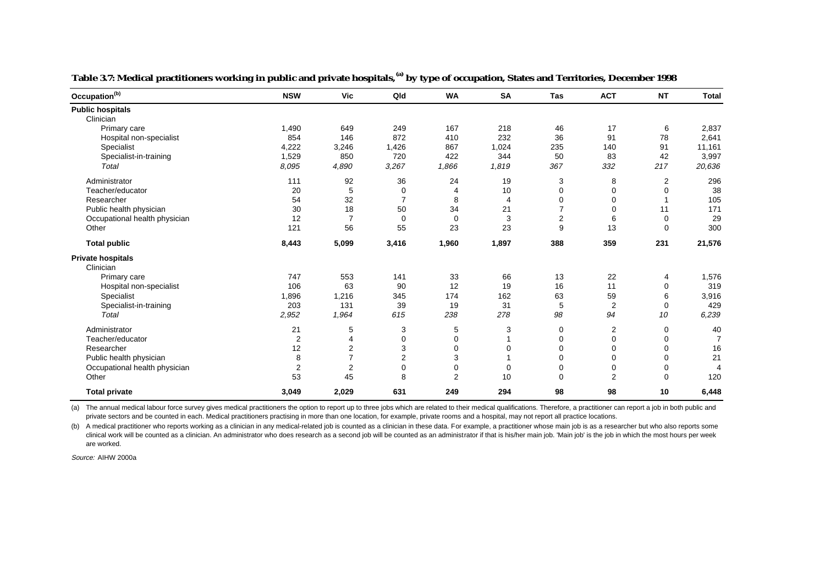| Occupation <sup>(b)</sup>     | <b>NSW</b>     | Vic            | Qld            | <b>WA</b>      | <b>SA</b> | <b>Tas</b>     | <b>ACT</b>     | <b>NT</b> | <b>Total</b>   |
|-------------------------------|----------------|----------------|----------------|----------------|-----------|----------------|----------------|-----------|----------------|
| <b>Public hospitals</b>       |                |                |                |                |           |                |                |           |                |
| Clinician                     |                |                |                |                |           |                |                |           |                |
| Primary care                  | 1,490          | 649            | 249            | 167            | 218       | 46             | 17             | 6         | 2,837          |
| Hospital non-specialist       | 854            | 146            | 872            | 410            | 232       | 36             | 91             | 78        | 2,641          |
| Specialist                    | 4,222          | 3,246          | 1,426          | 867            | 1,024     | 235            | 140            | 91        | 11,161         |
| Specialist-in-training        | 1,529          | 850            | 720            | 422            | 344       | 50             | 83             | 42        | 3,997          |
| Total                         | 8.095          | 4,890          | 3,267          | 1,866          | 1,819     | 367            | 332            | 217       | 20,636         |
| Administrator                 | 111            | 92             | 36             | 24             | 19        | 3              | 8              | 2         | 296            |
| Teacher/educator              | 20             | 5              | $\mathbf 0$    | 4              | 10        | $\mathbf 0$    | $\mathbf 0$    | 0         | 38             |
| Researcher                    | 54             | 32             | $\overline{7}$ | 8              | 4         | $\mathbf 0$    | 0              | 1         | 105            |
| Public health physician       | 30             | 18             | 50             | 34             | 21        | 7              | $\mathbf 0$    | 11        | 171            |
| Occupational health physician | 12             | $\overline{7}$ | $\mathbf 0$    | $\mathbf 0$    | 3         | $\overline{2}$ | 6              | 0         | 29             |
| Other                         | 121            | 56             | 55             | 23             | 23        | 9              | 13             | 0         | 300            |
| <b>Total public</b>           | 8,443          | 5,099          | 3,416          | 1,960          | 1,897     | 388            | 359            | 231       | 21,576         |
| <b>Private hospitals</b>      |                |                |                |                |           |                |                |           |                |
| Clinician                     |                |                |                |                |           |                |                |           |                |
| Primary care                  | 747            | 553            | 141            | 33             | 66        | 13             | 22             | 4         | 1,576          |
| Hospital non-specialist       | 106            | 63             | 90             | 12             | 19        | 16             | 11             | 0         | 319            |
| Specialist                    | 1,896          | 1,216          | 345            | 174            | 162       | 63             | 59             | 6         | 3,916          |
| Specialist-in-training        | 203            | 131            | 39             | 19             | 31        | 5              | $\overline{2}$ | 0         | 429            |
| Total                         | 2,952          | 1,964          | 615            | 238            | 278       | 98             | 94             | 10        | 6,239          |
| Administrator                 | 21             | 5              | 3              | 5              | 3         | 0              | $\overline{2}$ | 0         | 40             |
| Teacher/educator              | $\overline{2}$ | 4              | 0              | 0              | 1         | 0              | $\mathbf 0$    | 0         | $\overline{7}$ |
| Researcher                    | 12             | $\overline{2}$ | 3              | 0              | 0         | $\mathbf 0$    | $\mathbf 0$    | 0         | 16             |
| Public health physician       | 8              | $\overline{7}$ | $\overline{2}$ | 3              |           | 0              | 0              | 0         | 21             |
| Occupational health physician | $\overline{2}$ | $\overline{2}$ | 0              | 0              | 0         | 0              | 0              | 0         | 4              |
| Other                         | 53             | 45             | 8              | $\overline{2}$ | 10        | $\Omega$       | $\overline{2}$ | 0         | 120            |
| <b>Total private</b>          | 3,049          | 2,029          | 631            | 249            | 294       | 98             | 98             | 10        | 6,448          |

**Table 3.7: Medical practitioners working in public and private hospitals,(a) by type of occupation, States and Territories, December 1998**

(a) The annual medical labour force survey gives medical practitioners the option to report up to three jobs which are related to their medical qualifications. Therefore, a practitioner can report a job in both public and private sectors and be counted in each. Medical practitioners practising in more than one location, for example, private rooms and a hospital, may not report all practice locations.

(b) A medical practitioner who reports working as a clinician in any medical-related job is counted as a clinician in these data. For example, a practitioner whose main job is as a researcher but who also reports some clinical work will be counted as a clinician. An administrator who does research as a second job will be counted as an administrator if that is his/her main job. 'Main job' is the job in which the most hours per week are worked.

Source: AIHW 2000a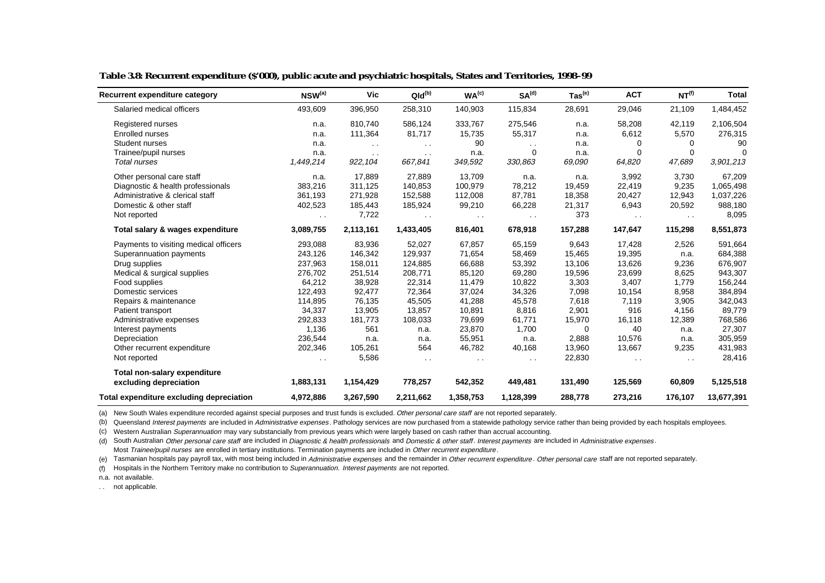| Recurrent expenditure category           | $NSW^{(a)}$   | Vic           | $QId^{(b)}$   | WA <sup>(c)</sup> | SA <sup>(d)</sup> | $\mathsf{ Tas}^\mathsf{(e)}$ | <b>ACT</b>    | NT <sup>(f)</sup>    | <b>Total</b> |
|------------------------------------------|---------------|---------------|---------------|-------------------|-------------------|------------------------------|---------------|----------------------|--------------|
| Salaried medical officers                | 493,609       | 396,950       | 258,310       | 140,903           | 115,834           | 28,691                       | 29,046        | 21,109               | 1,484,452    |
| Registered nurses                        | n.a.          | 810,740       | 586,124       | 333,767           | 275,546           | n.a.                         | 58,208        | 42,119               | 2,106,504    |
| Enrolled nurses                          | n.a.          | 111,364       | 81,717        | 15,735            | 55,317            | n.a.                         | 6,612         | 5,570                | 276,315      |
| Student nurses                           | n.a.          | $\sim$ $\sim$ | $\sim$        | 90                | $\sim$ $\sim$     | n.a.                         | $\Omega$      | $\Omega$             | 90           |
| Trainee/pupil nurses                     | n.a.          | $\sim$ $\sim$ | $\sim$ $\sim$ | n.a.              | $\mathbf 0$       | n.a.                         | $\Omega$      | 0                    | $\Omega$     |
| Total nurses                             | 1,449,214     | 922,104       | 667,841       | 349,592           | 330,863           | 69,090                       | 64,820        | 47,689               | 3,901,213    |
| Other personal care staff                | n.a.          | 17,889        | 27,889        | 13,709            | n.a.              | n.a.                         | 3,992         | 3,730                | 67,209       |
| Diagnostic & health professionals        | 383,216       | 311,125       | 140,853       | 100,979           | 78,212            | 19,459                       | 22,419        | 9,235                | 1,065,498    |
| Administrative & clerical staff          | 361,193       | 271,928       | 152,588       | 112,008           | 87,781            | 18,358                       | 20,427        | 12,943               | 1,037,226    |
| Domestic & other staff                   | 402,523       | 185,443       | 185,924       | 99,210            | 66,228            | 21,317                       | 6,943         | 20,592               | 988,180      |
| Not reported                             | $\sim$ $\sim$ | 7,722         | $\sim$ $\sim$ | $\sim$            | $\sim$ $\sim$     | 373                          | $\sim$ $\sim$ | $\ddot{\phantom{1}}$ | 8,095        |
| Total salary & wages expenditure         | 3,089,755     | 2,113,161     | 1,433,405     | 816,401           | 678,918           | 157,288                      | 147,647       | 115,298              | 8,551,873    |
| Payments to visiting medical officers    | 293,088       | 83,936        | 52,027        | 67,857            | 65,159            | 9,643                        | 17,428        | 2,526                | 591,664      |
| Superannuation payments                  | 243,126       | 146,342       | 129,937       | 71,654            | 58,469            | 15,465                       | 19,395        | n.a.                 | 684,388      |
| Drug supplies                            | 237,963       | 158,011       | 124,885       | 66,688            | 53,392            | 13,106                       | 13,626        | 9,236                | 676,907      |
| Medical & surgical supplies              | 276,702       | 251,514       | 208,771       | 85,120            | 69,280            | 19,596                       | 23,699        | 8,625                | 943,307      |
| Food supplies                            | 64,212        | 38,928        | 22,314        | 11,479            | 10,822            | 3,303                        | 3,407         | 1,779                | 156,244      |
| Domestic services                        | 122,493       | 92,477        | 72,364        | 37,024            | 34,326            | 7,098                        | 10,154        | 8,958                | 384,894      |
| Repairs & maintenance                    | 114,895       | 76,135        | 45,505        | 41,288            | 45,578            | 7,618                        | 7,119         | 3,905                | 342,043      |
| Patient transport                        | 34,337        | 13,905        | 13,857        | 10,891            | 8,816             | 2,901                        | 916           | 4,156                | 89,779       |
| Administrative expenses                  | 292,833       | 181,773       | 108,033       | 79,699            | 61,771            | 15,970                       | 16,118        | 12,389               | 768,586      |
| Interest payments                        | 1,136         | 561           | n.a.          | 23,870            | 1,700             | $\Omega$                     | 40            | n.a.                 | 27,307       |
| Depreciation                             | 236,544       | n.a.          | n.a.          | 55,951            | n.a.              | 2,888                        | 10,576        | n.a.                 | 305,959      |
| Other recurrent expenditure              | 202,346       | 105,261       | 564           | 46,782            | 40,168            | 13,960                       | 13,667        | 9,235                | 431,983      |
| Not reported                             | $\sim$ $\sim$ | 5,586         | $\sim$ $\sim$ |                   | $\sim$ $\sim$     | 22,830                       | $\sim$ $\sim$ | $\sim$               | 28,416       |
| Total non-salary expenditure             |               |               |               |                   |                   |                              |               |                      |              |
| excluding depreciation                   | 1,883,131     | 1,154,429     | 778,257       | 542,352           | 449,481           | 131,490                      | 125,569       | 60,809               | 5,125,518    |
| Total expenditure excluding depreciation | 4,972,886     | 3,267,590     | 2,211,662     | 1,358,753         | 1,128,399         | 288,778                      | 273,216       | 176,107              | 13,677,391   |

#### **Table 3.8: Recurrent expenditure (\$'000), public acute and psychiatric hospitals, States and Territories, 1998–99**

(a) New South Wales expenditure recorded against special purposes and trust funds is excluded. Other personal care staff are not reported separately.

(b) Queensland Interest payments are included in Administrative expenses. Pathology services are now purchased from a statewide pathology service rather than being provided by each hospitals employees.

(c) Western Australian Superannuation may vary substancially from previous years which were largely based on cash rather than accrual accounting.

(d) South Australian Other personal care staff are included in Diagnostic & health professionals and Domestic & other staff. Interest payments are included in Administrative expenses. Most Trainee/pupil nurses are enrolled in tertiary institutions. Termination payments are included in Other recurrent expenditure.

(e) Tasmanian hospitals pay payroll tax, with most being included in Administrative expenses and the remainder in Other recurrent expenditure. Other personal care staff are not reported separately.

(f) Hospitals in the Northern Territory make no contribution to *Superannuation. Interest payments* are not reported.

n.a. not available.